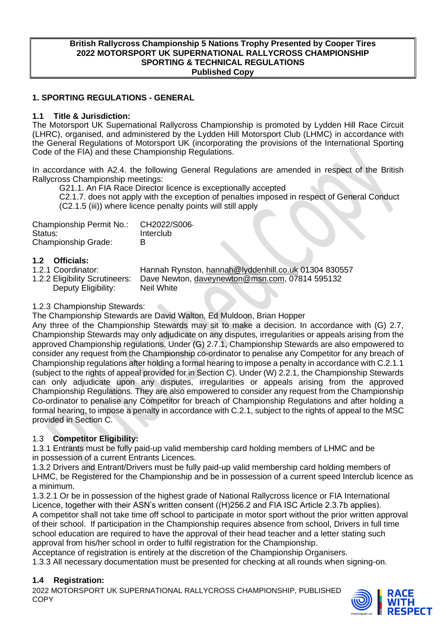#### **British Rallycross Championship 5 Nations Trophy Presented by Cooper Tires 2022 MOTORSPORT UK SUPERNATIONAL RALLYCROSS CHAMPIONSHIP SPORTING & TECHNICAL REGULATIONS Published Copy**

#### **1. SPORTING REGULATIONS - GENERAL**

#### **1.1 Title & Jurisdiction:**

The Motorsport UK Supernational Rallycross Championship is promoted by Lydden Hill Race Circuit (LHRC), organised, and administered by the Lydden Hill Motorsport Club (LHMC) in accordance with the General Regulations of Motorsport UK (incorporating the provisions of the International Sporting Code of the FIA) and these Championship Regulations.

In accordance with A2.4. the following General Regulations are amended in respect of the British Rallycross Championship meetings:

G21.1. An FIA Race Director licence is exceptionally accepted

C2.1.7. does not apply with the exception of penalties imposed in respect of General Conduct (C2.1.5 (iii)) where licence penalty points will still apply

| Championship Permit No.:   | CH2022/S006- |
|----------------------------|--------------|
| Status:                    | Interclub    |
| <b>Championship Grade:</b> | в            |

# **1.2 Officials:**

1.2.1 Coordinator: Hannah Rynston, [hannah@lyddenhill.co.uk](mailto:hannah@lyddenhill.co.uk) 01304 830557<br>1.2.2 Eligibility Scrutineers: Dave Newton, daveynewton@msn.com, 07814 595132 Dave Newton, [daveynewton@msn.com,](mailto:daveynewton@msn.com) 07814 595132 Deputy Eligibility: Neil White

#### 1.2.3 Championship Stewards:

The Championship Stewards are David Walton, Ed Muldoon, Brian Hopper

Any three of the Championship Stewards may sit to make a decision. In accordance with (G) 2.7, Championship Stewards may only adjudicate on any disputes, irregularities or appeals arising from the approved Championship regulations. Under (G) 2.7.1, Championship Stewards are also empowered to consider any request from the Championship co-ordinator to penalise any Competitor for any breach of Championship regulations after holding a formal hearing to impose a penalty in accordance with C.2.1.1 (subject to the rights of appeal provided for in Section C). Under (W) 2.2.1, the Championship Stewards can only adjudicate upon any disputes, irregularities or appeals arising from the approved Championship Regulations. They are also empowered to consider any request from the Championship Co-ordinator to penalise any Competitor for breach of Championship Regulations and after holding a formal hearing, to impose a penalty in accordance with C.2.1, subject to the rights of appeal to the MSC provided in Section C.

#### 1.3 **Competitor Eligibility:**

1.3.1 Entrants must be fully paid-up valid membership card holding members of LHMC and be in possession of a current Entrants Licences.

1.3.2 Drivers and Entrant/Drivers must be fully paid-up valid membership card holding members of LHMC, be Registered for the Championship and be in possession of a current speed Interclub licence as a minimum.

1.3.2.1 Or be in possession of the highest grade of National Rallycross licence or FIA International Licence, together with their ASN's written consent ((H)256.2 and FIA ISC Article 2.3.7b applies). A competitor shall not take time off school to participate in motor sport without the prior written approval of their school. If participation in the Championship requires absence from school, Drivers in full time school education are required to have the approval of their head teacher and a letter stating such approval from his/her school in order to fulfil registration for the Championship.

Acceptance of registration is entirely at the discretion of the Championship Organisers.

1.3.3 All necessary documentation must be presented for checking at all rounds when signing-on.

#### **1.4 Registration:**

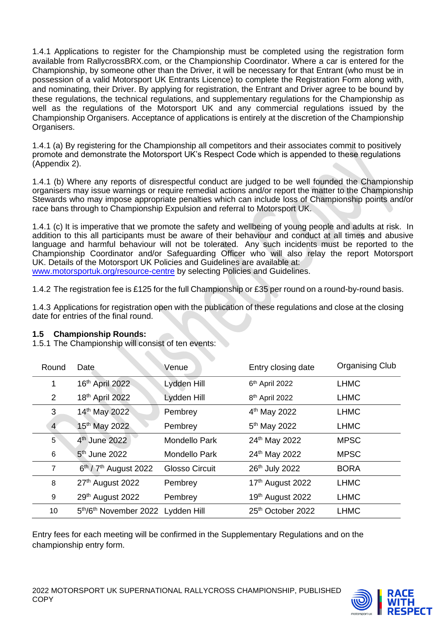1.4.1 Applications to register for the Championship must be completed using the registration form available from RallycrossBRX.com, or the Championship Coordinator. Where a car is entered for the Championship, by someone other than the Driver, it will be necessary for that Entrant (who must be in possession of a valid Motorsport UK Entrants Licence) to complete the Registration Form along with, and nominating, their Driver. By applying for registration, the Entrant and Driver agree to be bound by these regulations, the technical regulations, and supplementary regulations for the Championship as well as the regulations of the Motorsport UK and any commercial regulations issued by the Championship Organisers. Acceptance of applications is entirely at the discretion of the Championship Organisers.

1.4.1 (a) By registering for the Championship all competitors and their associates commit to positively promote and demonstrate the Motorsport UK's Respect Code which is appended to these regulations (Appendix 2).

1.4.1 (b) Where any reports of disrespectful conduct are judged to be well founded the Championship organisers may issue warnings or require remedial actions and/or report the matter to the Championship Stewards who may impose appropriate penalties which can include loss of Championship points and/or race bans through to Championship Expulsion and referral to Motorsport UK.

1.4.1 (c) It is imperative that we promote the safety and wellbeing of young people and adults at risk. In addition to this all participants must be aware of their behaviour and conduct at all times and abusive language and harmful behaviour will not be tolerated. Any such incidents must be reported to the Championship Coordinator and/or Safeguarding Officer who will also relay the report Motorsport UK. Details of the Motorsport UK Policies and Guidelines are available at:

[www.motorsportuk.org/resource-centre](http://www.motorsportuk.org/resource-centre) by selecting Policies and Guidelines.

1.4.2 The registration fee is £125 for the full Championship or £35 per round on a round-by-round basis.

1.4.3 Applications for registration open with the publication of these regulations and close at the closing date for entries of the final round.

## **1.5 Championship Rounds:**

1.5.1 The Championship will consist of ten events:

| Round       | Date.                             | Venue                 | Entry closing date            | <b>Organising Club</b> |
|-------------|-----------------------------------|-----------------------|-------------------------------|------------------------|
| 1           | 16th April 2022                   | Lydden Hill           | 6 <sup>th</sup> April 2022    | <b>LHMC</b>            |
| 2           | 18th April 2022                   | Lydden Hill           | 8 <sup>th</sup> April 2022    | <b>LHMC</b>            |
| 3           | 14th May 2022                     | Pembrey               | 4 <sup>th</sup> May 2022      | <b>LHMC</b>            |
| 4           | 15 <sup>th</sup> May 2022         | Pembrey               | 5 <sup>th</sup> May 2022      | <b>LHMC</b>            |
| $5^{\circ}$ | 4 <sup>th</sup> June 2022         | <b>Mondello Park</b>  | 24th May 2022                 | <b>MPSC</b>            |
| 6           | 5 <sup>th</sup> June 2022         | <b>Mondello Park</b>  | 24th May 2022                 | <b>MPSC</b>            |
| 7           | $6th$ / $7th$ August 2022         | <b>Glosso Circuit</b> | 26th July 2022                | <b>BORA</b>            |
| 8           | 27th August 2022                  | Pembrey               | 17th August 2022              | <b>LHMC</b>            |
| 9           | 29th August 2022                  | Pembrey               | 19th August 2022              | <b>LHMC</b>            |
| 10          | 5th/6th November 2022 Lydden Hill |                       | 25 <sup>th</sup> October 2022 | <b>LHMC</b>            |

Entry fees for each meeting will be confirmed in the Supplementary Regulations and on the championship entry form.

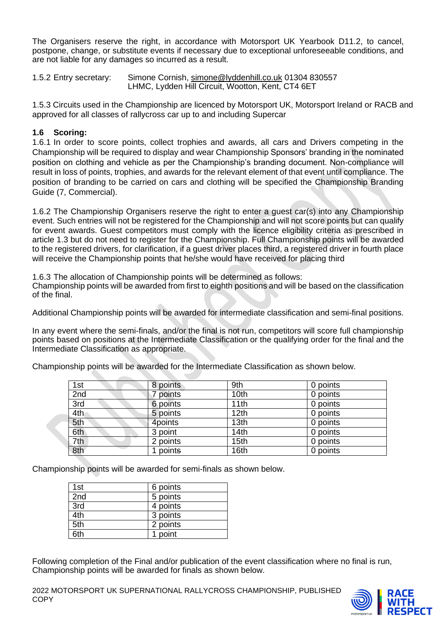The Organisers reserve the right, in accordance with Motorsport UK Yearbook D11.2, to cancel, postpone, change, or substitute events if necessary due to exceptional unforeseeable conditions, and are not liable for any damages so incurred as a result.

1.5.2 Entry secretary: Simone Cornish, [simone@lyddenhill.co.uk](mailto:simone@lyddenhill.co.uk) 01304 830557 LHMC, Lydden Hill Circuit, Wootton, Kent, CT4 6ET

1.5.3 Circuits used in the Championship are licenced by Motorsport UK, Motorsport Ireland or RACB and approved for all classes of rallycross car up to and including Supercar

## **1.6 Scoring:**

1.6.1 In order to score points, collect trophies and awards, all cars and Drivers competing in the Championship will be required to display and wear Championship Sponsors' branding in the nominated position on clothing and vehicle as per the Championship's branding document. Non-compliance will result in loss of points, trophies, and awards for the relevant element of that event until compliance. The position of branding to be carried on cars and clothing will be specified the Championship Branding Guide (7, Commercial).

1.6.2 The Championship Organisers reserve the right to enter a guest car(s) into any Championship event. Such entries will not be registered for the Championship and will not score points but can qualify for event awards. Guest competitors must comply with the licence eligibility criteria as prescribed in article 1.3 but do not need to register for the Championship. Full Championship points will be awarded to the registered drivers, for clarification, if a guest driver places third, a registered driver in fourth place will receive the Championship points that he/she would have received for placing third

1.6.3 The allocation of Championship points will be determined as follows:

Championship points will be awarded from first to eighth positions and will be based on the classification of the final.

Additional Championship points will be awarded for intermediate classification and semi-final positions.

In any event where the semi-finals, and/or the final is not run, competitors will score full championship points based on positions at the Intermediate Classification or the qualifying order for the final and the Intermediate Classification as appropriate.

Championship points will be awarded for the Intermediate Classification as shown below.

| 1st | 8 points | 9th              | 0 points |
|-----|----------|------------------|----------|
| 2nd | 7 points | 10th             | 0 points |
| 3rd | 6 points | 11th             | 0 points |
| 4th | 5 points | 12 <sub>th</sub> | 0 points |
| 5th | 4points  | 13th             | 0 points |
| 6th | 3 point  | 14th             | 0 points |
| 7th | 2 points | 15th             | 0 points |
| 8th | points   | 16th             | 0 points |

Championship points will be awarded for semi-finals as shown below.

| 1st        | 6 points |
|------------|----------|
| 2nd        | 5 points |
| 3rd        | 4 points |
| 4th        | 3 points |
| 5th        | 2 points |
| <b>Ath</b> | 1 point  |

Following completion of the Final and/or publication of the event classification where no final is run, Championship points will be awarded for finals as shown below.

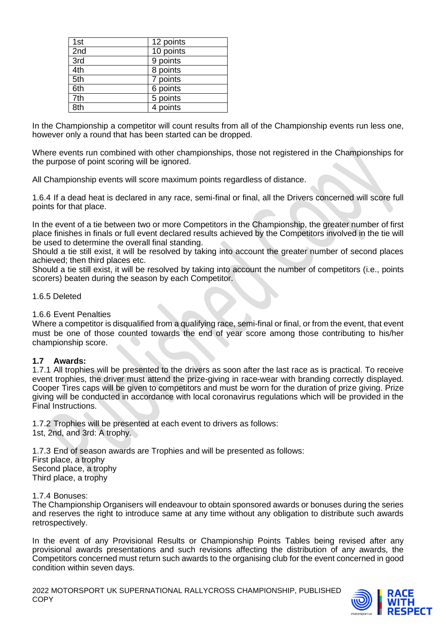| 1st             | 12 points |
|-----------------|-----------|
| 2nd             | 10 points |
| 3rd             | 9 points  |
| 4th             | 8 points  |
| 5th             | 7 points  |
| 6th             | 6 points  |
| 7th             | 5 points  |
| 8 <sub>th</sub> | 4 points  |

In the Championship a competitor will count results from all of the Championship events run less one, however only a round that has been started can be dropped.

Where events run combined with other championships, those not registered in the Championships for the purpose of point scoring will be ignored.

All Championship events will score maximum points regardless of distance.

1.6.4 If a dead heat is declared in any race, semi-final or final, all the Drivers concerned will score full points for that place.

In the event of a tie between two or more Competitors in the Championship, the greater number of first place finishes in finals or full event declared results achieved by the Competitors involved in the tie will be used to determine the overall final standing.

Should a tie still exist, it will be resolved by taking into account the greater number of second places achieved; then third places etc.

Should a tie still exist, it will be resolved by taking into account the number of competitors (i.e., points scorers) beaten during the season by each Competitor.

#### 1.6.5 Deleted

#### 1.6.6 Event Penalties

Where a competitor is disqualified from a qualifying race, semi-final or final, or from the event, that event must be one of those counted towards the end of year score among those contributing to his/her championship score.

#### **1.7 Awards:**

1.7.1 All trophies will be presented to the drivers as soon after the last race as is practical. To receive event trophies, the driver must attend the prize-giving in race-wear with branding correctly displayed. Cooper Tires caps will be given to competitors and must be worn for the duration of prize giving. Prize giving will be conducted in accordance with local coronavirus regulations which will be provided in the Final Instructions.

1.7.2 Trophies will be presented at each event to drivers as follows: 1st, 2nd, and 3rd: A trophy.

1.7.3 End of season awards are Trophies and will be presented as follows: First place, a trophy Second place, a trophy Third place, a trophy

1.7.4 Bonuses:

The Championship Organisers will endeavour to obtain sponsored awards or bonuses during the series and reserves the right to introduce same at any time without any obligation to distribute such awards retrospectively.

In the event of any Provisional Results or Championship Points Tables being revised after any provisional awards presentations and such revisions affecting the distribution of any awards, the Competitors concerned must return such awards to the organising club for the event concerned in good condition within seven days.

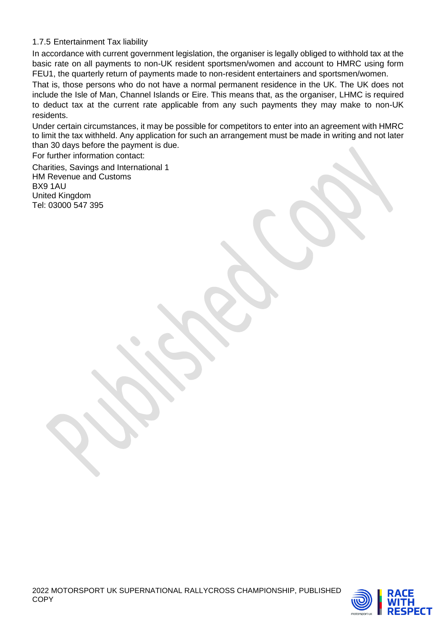## 1.7.5 Entertainment Tax liability

In accordance with current government legislation, the organiser is legally obliged to withhold tax at the basic rate on all payments to non-UK resident sportsmen/women and account to HMRC using form FEU1, the quarterly return of payments made to non-resident entertainers and sportsmen/women.

That is, those persons who do not have a normal permanent residence in the UK. The UK does not include the Isle of Man, Channel Islands or Eire. This means that, as the organiser, LHMC is required to deduct tax at the current rate applicable from any such payments they may make to non-UK residents.

Under certain circumstances, it may be possible for competitors to enter into an agreement with HMRC to limit the tax withheld. Any application for such an arrangement must be made in writing and not later than 30 days before the payment is due.

For further information contact:

Charities, Savings and International 1 HM Revenue and Customs BX9 1AU United Kingdom Tel: 03000 547 395

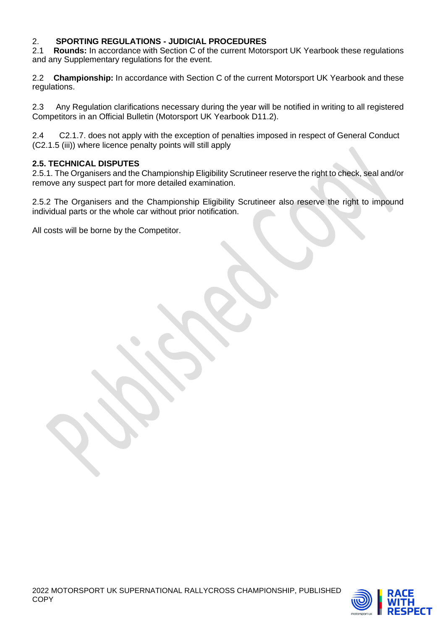# 2. **SPORTING REGULATIONS - JUDICIAL PROCEDURES**

**Rounds:** In accordance with Section C of the current Motorsport UK Yearbook these regulations and any Supplementary regulations for the event.

2.2 **Championship:** In accordance with Section C of the current Motorsport UK Yearbook and these regulations.

2.3 Any Regulation clarifications necessary during the year will be notified in writing to all registered Competitors in an Official Bulletin (Motorsport UK Yearbook D11.2).

2.4 C2.1.7. does not apply with the exception of penalties imposed in respect of General Conduct (C2.1.5 (iii)) where licence penalty points will still apply

## **2.5. TECHNICAL DISPUTES**

2.5.1. The Organisers and the Championship Eligibility Scrutineer reserve the right to check, seal and/or remove any suspect part for more detailed examination.

2.5.2 The Organisers and the Championship Eligibility Scrutineer also reserve the right to impound individual parts or the whole car without prior notification.

All costs will be borne by the Competitor.

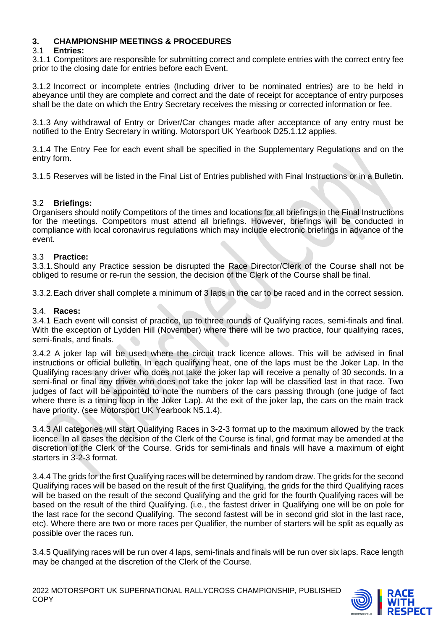## **3. CHAMPIONSHIP MEETINGS & PROCEDURES**

#### 3.1 **Entries:**

3.1.1 Competitors are responsible for submitting correct and complete entries with the correct entry fee prior to the closing date for entries before each Event.

3.1.2 Incorrect or incomplete entries (Including driver to be nominated entries) are to be held in abeyance until they are complete and correct and the date of receipt for acceptance of entry purposes shall be the date on which the Entry Secretary receives the missing or corrected information or fee.

3.1.3 Any withdrawal of Entry or Driver/Car changes made after acceptance of any entry must be notified to the Entry Secretary in writing. Motorsport UK Yearbook D25.1.12 applies.

3.1.4 The Entry Fee for each event shall be specified in the Supplementary Regulations and on the entry form.

3.1.5 Reserves will be listed in the Final List of Entries published with Final Instructions or in a Bulletin.

## 3.2 **Briefings:**

Organisers should notify Competitors of the times and locations for all briefings in the Final Instructions for the meetings. Competitors must attend all briefings. However, briefings will be conducted in compliance with local coronavirus regulations which may include electronic briefings in advance of the event.

## 3.3 **Practice:**

3.3.1.Should any Practice session be disrupted the Race Director/Clerk of the Course shall not be obliged to resume or re-run the session, the decision of the Clerk of the Course shall be final.

3.3.2.Each driver shall complete a minimum of 3 laps in the car to be raced and in the correct session.

#### 3.4. **Races:**

3.4.1 Each event will consist of practice, up to three rounds of Qualifying races, semi-finals and final. With the exception of Lydden Hill (November) where there will be two practice, four qualifying races, semi-finals, and finals.

3.4.2 A joker lap will be used where the circuit track licence allows. This will be advised in final instructions or official bulletin. In each qualifying heat, one of the laps must be the Joker Lap. In the Qualifying races any driver who does not take the joker lap will receive a penalty of 30 seconds. In a semi-final or final any driver who does not take the joker lap will be classified last in that race. Two judges of fact will be appointed to note the numbers of the cars passing through (one judge of fact where there is a timing loop in the Joker Lap). At the exit of the joker lap, the cars on the main track have priority. (see Motorsport UK Yearbook N5.1.4).

3.4.3 All categories will start Qualifying Races in 3-2-3 format up to the maximum allowed by the track licence. In all cases the decision of the Clerk of the Course is final, grid format may be amended at the discretion of the Clerk of the Course. Grids for semi-finals and finals will have a maximum of eight starters in 3-2-3 format.

3.4.4 The grids for the first Qualifying races will be determined by random draw. The grids for the second Qualifying races will be based on the result of the first Qualifying, the grids for the third Qualifying races will be based on the result of the second Qualifying and the grid for the fourth Qualifying races will be based on the result of the third Qualifying. (i.e., the fastest driver in Qualifying one will be on pole for the last race for the second Qualifying. The second fastest will be in second grid slot in the last race, etc). Where there are two or more races per Qualifier, the number of starters will be split as equally as possible over the races run.

3.4.5 Qualifying races will be run over 4 laps, semi-finals and finals will be run over six laps. Race length may be changed at the discretion of the Clerk of the Course.

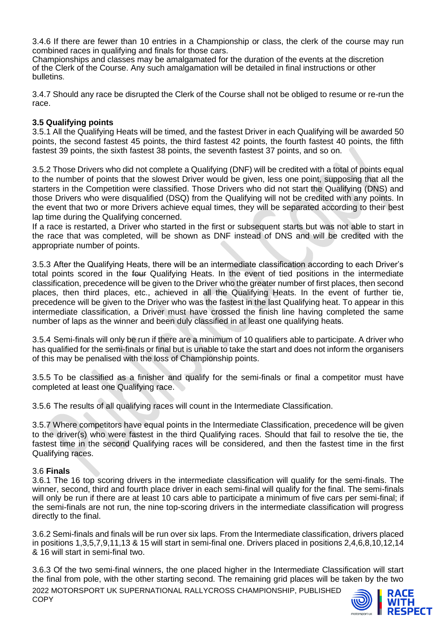3.4.6 If there are fewer than 10 entries in a Championship or class, the clerk of the course may run combined races in qualifying and finals for those cars.

Championships and classes may be amalgamated for the duration of the events at the discretion of the Clerk of the Course. Any such amalgamation will be detailed in final instructions or other bulletins.

3.4.7 Should any race be disrupted the Clerk of the Course shall not be obliged to resume or re-run the race.

#### **3.5 Qualifying points**

3.5.1 All the Qualifying Heats will be timed, and the fastest Driver in each Qualifying will be awarded 50 points, the second fastest 45 points, the third fastest 42 points, the fourth fastest 40 points, the fifth fastest 39 points, the sixth fastest 38 points, the seventh fastest 37 points, and so on.

3.5.2 Those Drivers who did not complete a Qualifying (DNF) will be credited with a total of points equal to the number of points that the slowest Driver would be given, less one point, supposing that all the starters in the Competition were classified. Those Drivers who did not start the Qualifying (DNS) and those Drivers who were disqualified (DSQ) from the Qualifying will not be credited with any points. In the event that two or more Drivers achieve equal times, they will be separated according to their best lap time during the Qualifying concerned.

If a race is restarted, a Driver who started in the first or subsequent starts but was not able to start in the race that was completed, will be shown as DNF instead of DNS and will be credited with the appropriate number of points.

3.5.3 After the Qualifying Heats, there will be an intermediate classification according to each Driver's total points scored in the four Qualifying Heats. In the event of tied positions in the intermediate classification, precedence will be given to the Driver who the greater number of first places, then second places, then third places, etc., achieved in all the Qualifying Heats. In the event of further tie, precedence will be given to the Driver who was the fastest in the last Qualifying heat. To appear in this intermediate classification, a Driver must have crossed the finish line having completed the same number of laps as the winner and been duly classified in at least one qualifying heats.

3.5.4 Semi-finals will only be run if there are a minimum of 10 qualifiers able to participate. A driver who has qualified for the semi-finals or final but is unable to take the start and does not inform the organisers of this may be penalised with the loss of Championship points.

3.5.5 To be classified as a finisher and qualify for the semi-finals or final a competitor must have completed at least one Qualifying race.

3.5.6 The results of all qualifying races will count in the Intermediate Classification.

3.5.7 Where competitors have equal points in the Intermediate Classification, precedence will be given to the driver(s) who were fastest in the third Qualifying races. Should that fail to resolve the tie, the fastest time in the second Qualifying races will be considered, and then the fastest time in the first Qualifying races.

#### 3.6 **Finals**

3.6.1 The 16 top scoring drivers in the intermediate classification will qualify for the semi-finals. The winner, second, third and fourth place driver in each semi-final will qualify for the final. The semi-finals will only be run if there are at least 10 cars able to participate a minimum of five cars per semi-final; if the semi-finals are not run, the nine top-scoring drivers in the intermediate classification will progress directly to the final.

3.6.2 Semi-finals and finals will be run over six laps. From the Intermediate classification, drivers placed in positions 1,3,5,7,9,11,13 & 15 will start in semi-final one. Drivers placed in positions 2,4,6,8,10,12,14 & 16 will start in semi-final two.

3.6.3 Of the two semi-final winners, the one placed higher in the Intermediate Classification will start the final from pole, with the other starting second. The remaining grid places will be taken by the two

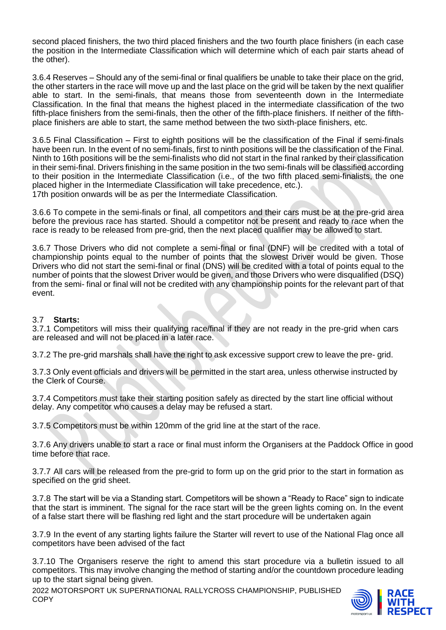second placed finishers, the two third placed finishers and the two fourth place finishers (in each case the position in the Intermediate Classification which will determine which of each pair starts ahead of the other).

3.6.4 Reserves – Should any of the semi-final or final qualifiers be unable to take their place on the grid, the other starters in the race will move up and the last place on the grid will be taken by the next qualifier able to start. In the semi-finals, that means those from seventeenth down in the Intermediate Classification. In the final that means the highest placed in the intermediate classification of the two fifth-place finishers from the semi-finals, then the other of the fifth-place finishers. If neither of the fifthplace finishers are able to start, the same method between the two sixth-place finishers, etc.

3.6.5 Final Classification – First to eighth positions will be the classification of the Final if semi-finals have been run. In the event of no semi-finals, first to ninth positions will be the classification of the Final. Ninth to 16th positions will be the semi-finalists who did not start in the final ranked by their classification in their semi-final. Drivers finishing in the same position in the two semi-finals will be classified according to their position in the Intermediate Classification (i.e., of the two fifth placed semi-finalists, the one placed higher in the Intermediate Classification will take precedence, etc.). 17th position onwards will be as per the Intermediate Classification.

3.6.6 To compete in the semi-finals or final, all competitors and their cars must be at the pre-grid area before the previous race has started. Should a competitor not be present and ready to race when the race is ready to be released from pre-grid, then the next placed qualifier may be allowed to start.

3.6.7 Those Drivers who did not complete a semi-final or final (DNF) will be credited with a total of championship points equal to the number of points that the slowest Driver would be given. Those Drivers who did not start the semi-final or final (DNS) will be credited with a total of points equal to the number of points that the slowest Driver would be given, and those Drivers who were disqualified (DSQ) from the semi- final or final will not be credited with any championship points for the relevant part of that event.

#### 3.7 **Starts:**

3.7.1 Competitors will miss their qualifying race/final if they are not ready in the pre-grid when cars are released and will not be placed in a later race.

3.7.2 The pre-grid marshals shall have the right to ask excessive support crew to leave the pre- grid.

3.7.3 Only event officials and drivers will be permitted in the start area, unless otherwise instructed by the Clerk of Course.

3.7.4 Competitors must take their starting position safely as directed by the start line official without delay. Any competitor who causes a delay may be refused a start.

3.7.5 Competitors must be within 120mm of the grid line at the start of the race.

3.7.6 Any drivers unable to start a race or final must inform the Organisers at the Paddock Office in good time before that race.

3.7.7 All cars will be released from the pre-grid to form up on the grid prior to the start in formation as specified on the grid sheet.

3.7.8 The start will be via a Standing start. Competitors will be shown a "Ready to Race" sign to indicate that the start is imminent. The signal for the race start will be the green lights coming on. In the event of a false start there will be flashing red light and the start procedure will be undertaken again

3.7.9 In the event of any starting lights failure the Starter will revert to use of the National Flag once all competitors have been advised of the fact

3.7.10 The Organisers reserve the right to amend this start procedure via a bulletin issued to all competitors. This may involve changing the method of starting and/or the countdown procedure leading up to the start signal being given.

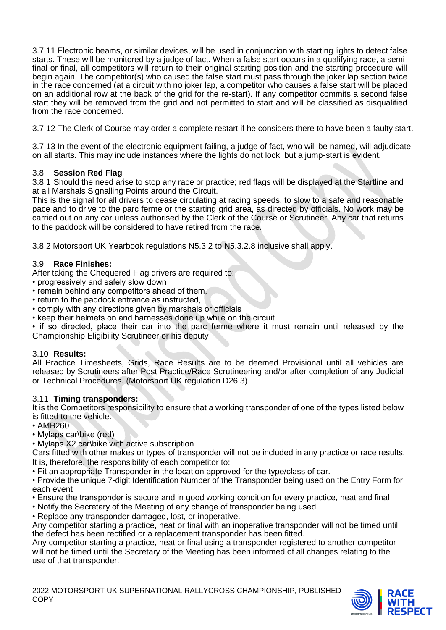3.7.11 Electronic beams, or similar devices, will be used in conjunction with starting lights to detect false starts. These will be monitored by a judge of fact. When a false start occurs in a qualifying race, a semifinal or final, all competitors will return to their original starting position and the starting procedure will begin again. The competitor(s) who caused the false start must pass through the joker lap section twice in the race concerned (at a circuit with no joker lap, a competitor who causes a false start will be placed on an additional row at the back of the grid for the re-start). If any competitor commits a second false start they will be removed from the grid and not permitted to start and will be classified as disqualified from the race concerned.

3.7.12 The Clerk of Course may order a complete restart if he considers there to have been a faulty start.

3.7.13 In the event of the electronic equipment failing, a judge of fact, who will be named, will adjudicate on all starts. This may include instances where the lights do not lock, but a jump-start is evident.

## 3.8 **Session Red Flag**

3.8.1 Should the need arise to stop any race or practice; red flags will be displayed at the Startline and at all Marshals Signalling Points around the Circuit.

This is the signal for all drivers to cease circulating at racing speeds, to slow to a safe and reasonable pace and to drive to the parc ferme or the starting grid area, as directed by officials. No work may be carried out on any car unless authorised by the Clerk of the Course or Scrutineer. Any car that returns to the paddock will be considered to have retired from the race.

3.8.2 Motorsport UK Yearbook regulations N5.3.2 to N5.3.2.8 inclusive shall apply.

## 3.9 **Race Finishes:**

After taking the Chequered Flag drivers are required to:

- progressively and safely slow down
- remain behind any competitors ahead of them,
- return to the paddock entrance as instructed,
- comply with any directions given by marshals or officials
- keep their helmets on and harnesses done up while on the circuit

• if so directed, place their car into the parc ferme where it must remain until released by the Championship Eligibility Scrutineer or his deputy

#### 3.10 **Results:**

All Practice Timesheets, Grids, Race Results are to be deemed Provisional until all vehicles are released by Scrutineers after Post Practice/Race Scrutineering and/or after completion of any Judicial or Technical Procedures. (Motorsport UK regulation D26.3)

#### 3.11 **Timing transponders:**

It is the Competitors responsibility to ensure that a working transponder of one of the types listed below is fitted to the vehicle.

- AMB260
- Mylaps car\bike (red)
- Mylaps X2 car\bike with active subscription

Cars fitted with other makes or types of transponder will not be included in any practice or race results. It is, therefore, the responsibility of each competitor to:

- Fit an appropriate Transponder in the location approved for the type/class of car.
- Provide the unique 7-digit Identification Number of the Transponder being used on the Entry Form for each event
- Ensure the transponder is secure and in good working condition for every practice, heat and final
- Notify the Secretary of the Meeting of any change of transponder being used.
- Replace any transponder damaged, lost, or inoperative.

Any competitor starting a practice, heat or final with an inoperative transponder will not be timed until the defect has been rectified or a replacement transponder has been fitted.

Any competitor starting a practice, heat or final using a transponder registered to another competitor will not be timed until the Secretary of the Meeting has been informed of all changes relating to the use of that transponder.

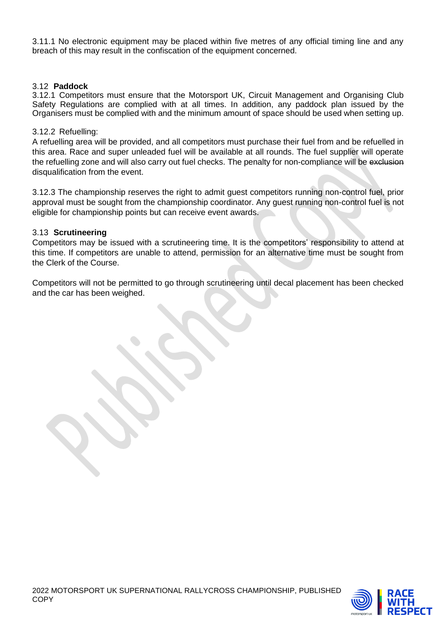3.11.1 No electronic equipment may be placed within five metres of any official timing line and any breach of this may result in the confiscation of the equipment concerned.

#### 3.12 **Paddock**

3.12.1 Competitors must ensure that the Motorsport UK, Circuit Management and Organising Club Safety Regulations are complied with at all times. In addition, any paddock plan issued by the Organisers must be complied with and the minimum amount of space should be used when setting up.

#### 3.12.2 Refuelling:

A refuelling area will be provided, and all competitors must purchase their fuel from and be refuelled in this area. Race and super unleaded fuel will be available at all rounds. The fuel supplier will operate the refuelling zone and will also carry out fuel checks. The penalty for non-compliance will be exclusion disqualification from the event.

3.12.3 The championship reserves the right to admit guest competitors running non-control fuel, prior approval must be sought from the championship coordinator. Any guest running non-control fuel is not eligible for championship points but can receive event awards.

#### 3.13 **Scrutineering**

Competitors may be issued with a scrutineering time. It is the competitors' responsibility to attend at this time. If competitors are unable to attend, permission for an alternative time must be sought from the Clerk of the Course.

Competitors will not be permitted to go through scrutineering until decal placement has been checked and the car has been weighed.

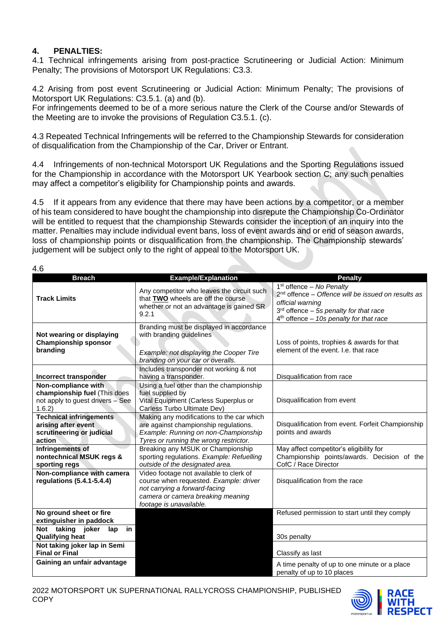## **4. PENALTIES:**

4.1 Technical infringements arising from post-practice Scrutineering or Judicial Action: Minimum Penalty; The provisions of Motorsport UK Regulations: C3.3.

4.2 Arising from post event Scrutineering or Judicial Action: Minimum Penalty; The provisions of Motorsport UK Regulations: C3.5.1. (a) and (b).

For infringements deemed to be of a more serious nature the Clerk of the Course and/or Stewards of the Meeting are to invoke the provisions of Regulation C3.5.1. (c).

4.3 Repeated Technical Infringements will be referred to the Championship Stewards for consideration of disqualification from the Championship of the Car, Driver or Entrant.

4.4 Infringements of non-technical Motorsport UK Regulations and the Sporting Regulations issued for the Championship in accordance with the Motorsport UK Yearbook section C; any such penalties may affect a competitor's eligibility for Championship points and awards.

4.5 If it appears from any evidence that there may have been actions by a competitor, or a member of his team considered to have bought the championship into disrepute the Championship Co-Ordinator will be entitled to request that the championship Stewards consider the inception of an inquiry into the matter. Penalties may include individual event bans, loss of event awards and or end of season awards, loss of championship points or disqualification from the championship. The Championship stewards' judgement will be subject only to the right of appeal to the Motorsport UK.

 $\overline{4}$  6

| .                                                                                                 |                                                                                                                                                                                    |                                                                                                                                                                                                           |
|---------------------------------------------------------------------------------------------------|------------------------------------------------------------------------------------------------------------------------------------------------------------------------------------|-----------------------------------------------------------------------------------------------------------------------------------------------------------------------------------------------------------|
| <b>Breach</b>                                                                                     | <b>Example/Explanation</b>                                                                                                                                                         | <b>Penalty</b>                                                                                                                                                                                            |
| <b>Track Limits</b>                                                                               | Any competitor who leaves the circuit such<br>that TWO wheels are off the course<br>whether or not an advantage is gained SR.<br>9.2.1                                             | $1st$ offence – No Penalty<br>2 <sup>nd</sup> offence - Offence will be issued on results as<br>official warning<br>$3rd$ offence - 5s penalty for that race<br>$4th$ offence - 10s penalty for that race |
| Not wearing or displaying<br><b>Championship sponsor</b><br>branding                              | Branding must be displayed in accordance<br>with branding guidelines<br>Example: not displaying the Cooper Tire<br>branding on your car or overalls.                               | Loss of points, trophies & awards for that<br>element of the event. I.e. that race                                                                                                                        |
| Incorrect transponder                                                                             | Includes transponder not working & not<br>having a transponder.                                                                                                                    | Disqualification from race                                                                                                                                                                                |
| Non-compliance with<br>championship fuel (This does<br>not apply to guest drivers - See<br>1.6.2) | Using a fuel other than the championship<br>fuel supplied by<br>Vital Equipment (Carless Superplus or<br>Carless Turbo Ultimate Dev)                                               | Disqualification from event                                                                                                                                                                               |
| <b>Technical infringements</b><br>arising after event<br>scrutineering or judicial<br>action      | Making any modifications to the car which<br>are against championship regulations.<br>Example: Running on non-Championship<br>Tyres or running the wrong restrictor.               | Disqualification from event. Forfeit Championship<br>points and awards                                                                                                                                    |
| Infringements of<br>nontechnical MSUK regs &<br>sporting regs                                     | Breaking any MSUK or Championship<br>sporting regulations. Example: Refuelling<br>outside of the designated area.                                                                  | May affect competitor's eligibility for<br>Championship points/awards. Decision of the<br>CofC / Race Director                                                                                            |
| Non-compliance with camera<br>regulations (5.4.1-5.4.4)                                           | Video footage not available to clerk of<br>course when requested. Example: driver<br>not carrying a forward-facing<br>camera or camera breaking meaning<br>footage is unavailable. | Disqualification from the race                                                                                                                                                                            |
| No ground sheet or fire<br>extinguisher in paddock                                                |                                                                                                                                                                                    | Refused permission to start until they comply                                                                                                                                                             |
| Not taking joker<br>in<br>lap<br><b>Qualifying heat</b>                                           |                                                                                                                                                                                    | 30s penalty                                                                                                                                                                                               |
| Not taking joker lap in Semi<br><b>Final or Final</b>                                             |                                                                                                                                                                                    | Classify as last                                                                                                                                                                                          |
| Gaining an unfair advantage                                                                       |                                                                                                                                                                                    | A time penalty of up to one minute or a place<br>penalty of up to 10 places                                                                                                                               |

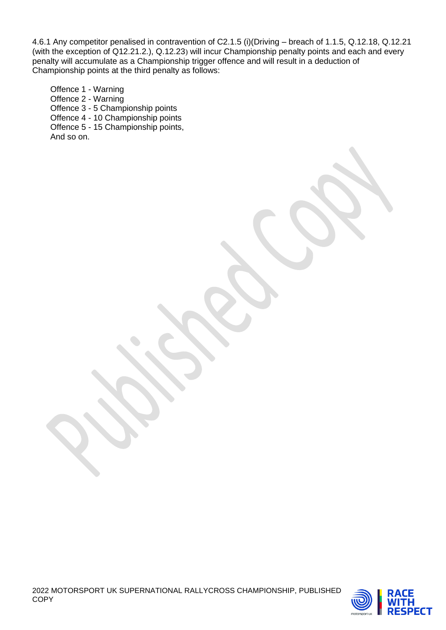4.6.1 Any competitor penalised in contravention of C2.1.5 (i)(Driving – breach of 1.1.5, Q.12.18, Q.12.21 (with the exception of Q12.21.2.), Q.12.23) will incur Championship penalty points and each and every penalty will accumulate as a Championship trigger offence and will result in a deduction of Championship points at the third penalty as follows:

Offence 1 - Warning Offence 2 - Warning Offence 3 - 5 Championship points Offence 4 - 10 Championship points Offence 5 - 15 Championship points, And so on.

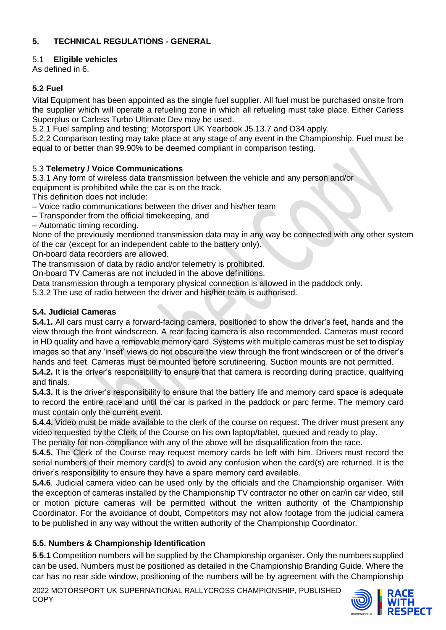# **5. TECHNICAL REGULATIONS - GENERAL**

## 5.1 **Eligible vehicles**

As defined in 6.

# **5.2 Fuel**

Vital Equipment has been appointed as the single fuel supplier. All fuel must be purchased onsite from the supplier which will operate a refueling zone in which all refueling must take place. Either Carless Superplus or Carless Turbo Ultimate Dev may be used.

5.2.1 Fuel sampling and testing; Motorsport UK Yearbook J5.13.7 and D34 apply.

5.2.2 Comparison testing may take place at any stage of any event in the Championship. Fuel must be equal to or better than 99.90% to be deemed compliant in comparison testing.

## 5.3 **Telemetry / Voice Communications**

5.3.1 Any form of wireless data transmission between the vehicle and any person and/or

equipment is prohibited while the car is on the track.

This definition does not include:

– Voice radio communications between the driver and his/her team

– Transponder from the official timekeeping, and

– Automatic timing recording.

None of the previously mentioned transmission data may in any way be connected with any other system of the car (except for an independent cable to the battery only).

On**‐**board data recorders are allowed.

The transmission of data by radio and/or telemetry is prohibited.

On**‐**board TV Cameras are not included in the above definitions.

Data transmission through a temporary physical connection is allowed in the paddock only.

5.3.2 The use of radio between the driver and his/her team is authorised.

## **5.4. Judicial Cameras**

**5.4.1.** All cars must carry a forward-facing camera, positioned to show the driver's feet, hands and the view through the front windscreen. A rear facing camera is also recommended. Cameras must record in HD quality and have a removable memory card. Systems with multiple cameras must be set to display images so that any 'inset' views do not obscure the view through the front windscreen or of the driver's hands and feet. Cameras must be mounted before scrutineering. Suction mounts are not permitted.

**5.4.2.** It is the driver's responsibility to ensure that that camera is recording during practice, qualifying and finals.

**5.4.3.** It is the driver's responsibility to ensure that the battery life and memory card space is adequate to record the entire race and until the car is parked in the paddock or parc ferme. The memory card must contain only the current event.

**5.4.4.** Video must be made available to the clerk of the course on request. The driver must present any video requested by the Clerk of the Course on his own laptop/tablet, queued and ready to play.

The penalty for non-compliance with any of the above will be disqualification from the race.

**5.4.5.** The Clerk of the Course may request memory cards be left with him. Drivers must record the serial numbers of their memory card(s) to avoid any confusion when the card(s) are returned. It is the driver's responsibility to ensure they have a spare memory card available.

**5.4.6**. Judicial camera video can be used only by the officials and the Championship organiser. With the exception of cameras installed by the Championship TV contractor no other on car/in car video, still or motion picture cameras will be permitted without the written authority of the Championship Coordinator. For the avoidance of doubt, Competitors may not allow footage from the judicial camera to be published in any way without the written authority of the Championship Coordinator.

# **5.5. Numbers & Championship Identification**

**5**.**5.1** Competition numbers will be supplied by the Championship organiser. Only the numbers supplied can be used. Numbers must be positioned as detailed in the Championship Branding Guide. Where the car has no rear side window, positioning of the numbers will be by agreement with the Championship

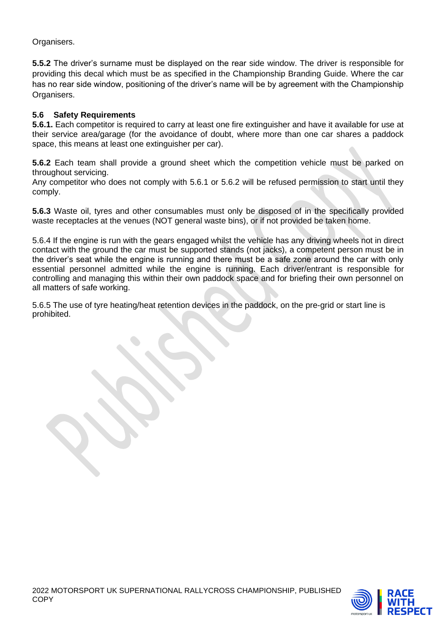Organisers.

**5.5.2** The driver's surname must be displayed on the rear side window. The driver is responsible for providing this decal which must be as specified in the Championship Branding Guide. Where the car has no rear side window, positioning of the driver's name will be by agreement with the Championship Organisers.

## **5.6 Safety Requirements**

**5.6.1.** Each competitor is required to carry at least one fire extinguisher and have it available for use at their service area/garage (for the avoidance of doubt, where more than one car shares a paddock space, this means at least one extinguisher per car).

**5.6.2** Each team shall provide a ground sheet which the competition vehicle must be parked on throughout servicing.

Any competitor who does not comply with 5.6.1 or 5.6.2 will be refused permission to start until they comply.

**5.6.3** Waste oil, tyres and other consumables must only be disposed of in the specifically provided waste receptacles at the venues (NOT general waste bins), or if not provided be taken home.

5.6.4 If the engine is run with the gears engaged whilst the vehicle has any driving wheels not in direct contact with the ground the car must be supported stands (not jacks), a competent person must be in the driver's seat while the engine is running and there must be a safe zone around the car with only essential personnel admitted while the engine is running. Each driver/entrant is responsible for controlling and managing this within their own paddock space and for briefing their own personnel on all matters of safe working.

5.6.5 The use of tyre heating/heat retention devices in the paddock, on the pre-grid or start line is prohibited.

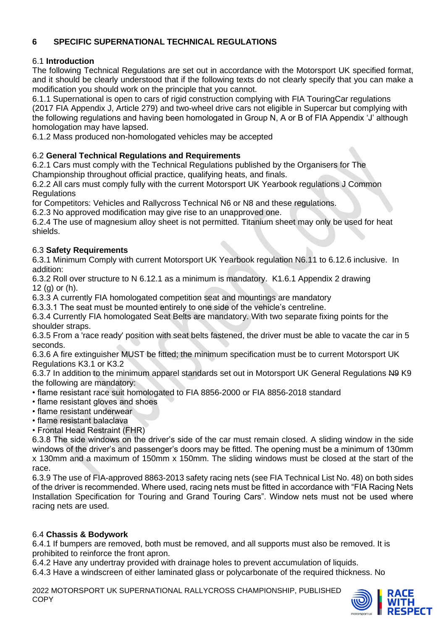# **6 SPECIFIC SUPERNATIONAL TECHNICAL REGULATIONS**

## 6.1 **Introduction**

The following Technical Regulations are set out in accordance with the Motorsport UK specified format, and it should be clearly understood that if the following texts do not clearly specify that you can make a modification you should work on the principle that you cannot.

6.1.1 Supernational is open to cars of rigid construction complying with FIA TouringCar regulations (2017 FIA Appendix J, Article 279) and two-wheel drive cars not eligible in Supercar but complying with the following regulations and having been homologated in Group N, A or B of FIA Appendix 'J' although homologation may have lapsed.

6.1.2 Mass produced non-homologated vehicles may be accepted

## 6.2 **General Technical Regulations and Requirements**

6.2.1 Cars must comply with the Technical Regulations published by the Organisers for The Championship throughout official practice, qualifying heats, and finals.

6.2.2 All cars must comply fully with the current Motorsport UK Yearbook regulations J Common **Requlations** 

for Competitors: Vehicles and Rallycross Technical N6 or N8 and these regulations.

6.2.3 No approved modification may give rise to an unapproved one.

6.2.4 The use of magnesium alloy sheet is not permitted. Titanium sheet may only be used for heat shields.

## 6.3 **Safety Requirements**

6.3.1 Minimum Comply with current Motorsport UK Yearbook regulation N6.11 to 6.12.6 inclusive. In addition:

6.3.2 Roll over structure to N 6.12.1 as a minimum is mandatory. K1.6.1 Appendix 2 drawing 12 (g) or (h).

6.3.3 A currently FIA homologated competition seat and mountings are mandatory

6.3.3.1 The seat must be mounted entirely to one side of the vehicle's centreline.

6.3.4 Currently FIA homologated Seat Belts are mandatory. With two separate fixing points for the shoulder straps.

6.3.5 From a 'race ready' position with seat belts fastened, the driver must be able to vacate the car in 5 seconds.

6.3.6 A fire extinguisher MUST be fitted; the minimum specification must be to current Motorsport UK Regulations K3.1 or K3.2

6.3.7 In addition to the minimum apparel standards set out in Motorsport UK General Regulations N9 K9 the following are mandatory:

- flame resistant race suit homologated to FIA 8856-2000 or FIA 8856-2018 standard
- flame resistant gloves and shoes
- flame resistant underwear
- flame resistant balaclava
- Frontal Head Restraint (FHR)

6.3.8 The side windows on the driver's side of the car must remain closed. A sliding window in the side windows of the driver's and passenger's doors may be fitted. The opening must be a minimum of 130mm x 130mm and a maximum of 150mm x 150mm. The sliding windows must be closed at the start of the race.

6.3.9 The use of FIA-approved 8863-2013 safety racing nets (see FIA Technical List No. 48) on both sides of the driver is recommended. Where used, racing nets must be fitted in accordance with "FIA Racing Nets Installation Specification for Touring and Grand Touring Cars". Window nets must not be used where racing nets are used.

## 6.4 **Chassis & Bodywork**

6.4.1 If bumpers are removed, both must be removed, and all supports must also be removed. It is prohibited to reinforce the front apron.

6.4.2 Have any undertray provided with drainage holes to prevent accumulation of liquids.

6.4.3 Have a windscreen of either laminated glass or polycarbonate of the required thickness. No

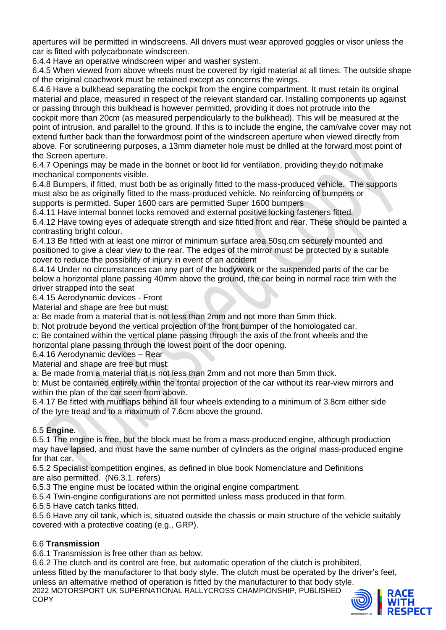apertures will be permitted in windscreens. All drivers must wear approved goggles or visor unless the car is fitted with polycarbonate windscreen.

6.4.4 Have an operative windscreen wiper and washer system.

6.4.5 When viewed from above wheels must be covered by rigid material at all times. The outside shape of the original coachwork must be retained except as concerns the wings.

6.4.6 Have a bulkhead separating the cockpit from the engine compartment. It must retain its original material and place, measured in respect of the relevant standard car. Installing components up against or passing through this bulkhead is however permitted, providing it does not protrude into the cockpit more than 20cm (as measured perpendicularly to the bulkhead). This will be measured at the point of intrusion, and parallel to the ground. If this is to include the engine, the cam/valve cover may not extend further back than the forwardmost point of the windscreen aperture when viewed directly from above. For scrutineering purposes, a 13mm diameter hole must be drilled at the forward most point of the Screen aperture.

6.4.7 Openings may be made in the bonnet or boot lid for ventilation, providing they do not make mechanical components visible.

6.4.8 Bumpers, if fitted, must both be as originally fitted to the mass-produced vehicle. The supports must also be as originally fitted to the mass-produced vehicle. No reinforcing of bumpers or supports is permitted. Super 1600 cars are permitted Super 1600 bumpers

6.4.11 Have internal bonnet locks removed and external positive locking fasteners fitted.

6.4.12 Have towing eyes of adequate strength and size fitted front and rear. These should be painted a contrasting bright colour.

6.4.13 Be fitted with at least one mirror of minimum surface area 50sq.cm securely mounted and positioned to give a clear view to the rear. The edges of the mirror must be protected by a suitable cover to reduce the possibility of injury in event of an accident

6.4.14 Under no circumstances can any part of the bodywork or the suspended parts of the car be below a horizontal plane passing 40mm above the ground, the car being in normal race trim with the driver strapped into the seat

6.4.15 Aerodynamic devices - Front

Material and shape are free but must:

a: Be made from a material that is not less than 2mm and not more than 5mm thick.

b: Not protrude beyond the vertical projection of the front bumper of the homologated car.

c: Be contained within the vertical plane passing through the axis of the front wheels and the

horizontal plane passing through the lowest point of the door opening.

6.4.16 Aerodynamic devices – Rear

Material and shape are free but must:

a: Be made from a material that is not less than 2mm and not more than 5mm thick.

b: Must be contained entirely within the frontal projection of the car without its rear-view mirrors and within the plan of the car seen from above.

6.4.17 Be fitted with mudflaps behind all four wheels extending to a minimum of 3.8cm either side of the tyre tread and to a maximum of 7.6cm above the ground.

## 6.5 **Engine**.

6.5.1 The engine is free, but the block must be from a mass-produced engine, although production may have lapsed, and must have the same number of cylinders as the original mass-produced engine for that car.

6.5.2 Specialist competition engines, as defined in blue book Nomenclature and Definitions are also permitted. (N6.3.1. refers)

6.5.3 The engine must be located within the original engine compartment.

6.5.4 Twin-engine configurations are not permitted unless mass produced in that form.

6.5.5 Have catch tanks fitted.

6.5.6 Have any oil tank, which is, situated outside the chassis or main structure of the vehicle suitably covered with a protective coating (e.g., GRP).

## 6.6 **Transmission**

6.6.1 Transmission is free other than as below.

2022 MOTORSPORT UK SUPERNATIONAL RALLYCROSS CHAMPIONSHIP, PUBLISHED **COPY** 6.6.2 The clutch and its control are free, but automatic operation of the clutch is prohibited, unless fitted by the manufacturer to that body style. The clutch must be operated by the driver's feet, unless an alternative method of operation is fitted by the manufacturer to that body style.

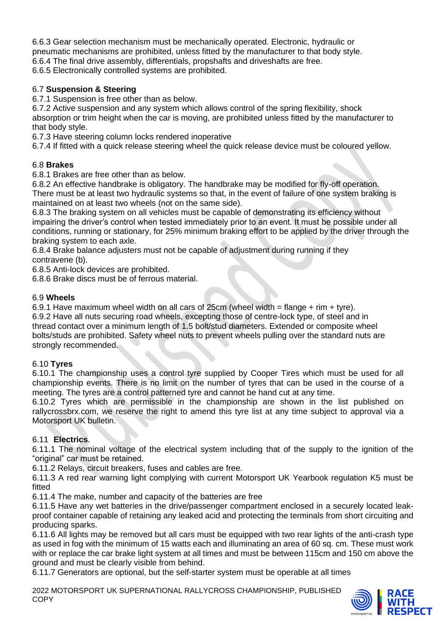6.6.3 Gear selection mechanism must be mechanically operated. Electronic, hydraulic or pneumatic mechanisms are prohibited, unless fitted by the manufacturer to that body style. 6.6.4 The final drive assembly, differentials, propshafts and driveshafts are free. 6.6.5 Electronically controlled systems are prohibited.

## 6.7 **Suspension & Steering**

6.7.1 Suspension is free other than as below.

6.7.2 Active suspension and any system which allows control of the spring flexibility, shock absorption or trim height when the car is moving, are prohibited unless fitted by the manufacturer to that body style.

6.7.3 Have steering column locks rendered inoperative

6.7.4 If fitted with a quick release steering wheel the quick release device must be coloured yellow.

## 6.8 **Brakes**

6.8.1 Brakes are free other than as below.

6.8.2 An effective handbrake is obligatory. The handbrake may be modified for fly-off operation. There must be at least two hydraulic systems so that, in the event of failure of one system braking is maintained on at least two wheels (not on the same side).

6.8.3 The braking system on all vehicles must be capable of demonstrating its efficiency without impairing the driver's control when tested immediately prior to an event. It must be possible under all conditions, running or stationary, for 25% minimum braking effort to be applied by the driver through the braking system to each axle.

6.8.4 Brake balance adjusters must not be capable of adjustment during running if they contravene (b).

6.8.5 Anti-lock devices are prohibited.

6.8.6 Brake discs must be of ferrous material.

## 6.9 **Wheels**

6.9.1 Have maximum wheel width on all cars of  $25cm$  (wheel width = flange + rim + tyre). 6.9.2 Have all nuts securing road wheels, excepting those of centre-lock type, of steel and in thread contact over a minimum length of 1.5 bolt/stud diameters. Extended or composite wheel bolts/studs are prohibited. Safety wheel nuts to prevent wheels pulling over the standard nuts are strongly recommended.

## 6.10 **Tyres**

6.10.1 The championship uses a control tyre supplied by Cooper Tires which must be used for all championship events. There is no limit on the number of tyres that can be used in the course of a meeting. The tyres are a control patterned tyre and cannot be hand cut at any time.

6.10.2 Tyres which are permissible in the championship are shown in the list published on rallycrossbrx.com, we reserve the right to amend this tyre list at any time subject to approval via a Motorsport UK bulletin.

# 6.11 **Electrics**.

6.11.1 The nominal voltage of the electrical system including that of the supply to the ignition of the "original" car must be retained.

6.11.2 Relays, circuit breakers, fuses and cables are free.

6.11.3 A red rear warning light complying with current Motorsport UK Yearbook regulation K5 must be fitted

6.11.4 The make, number and capacity of the batteries are free

6.11.5 Have any wet batteries in the drive/passenger compartment enclosed in a securely located leakproof container capable of retaining any leaked acid and protecting the terminals from short circuiting and producing sparks.

6.11.6 All lights may be removed but all cars must be equipped with two rear lights of the anti-crash type as used in fog with the minimum of 15 watts each and illuminating an area of 60 sq. cm. These must work with or replace the car brake light system at all times and must be between 115cm and 150 cm above the ground and must be clearly visible from behind.

6.11.7 Generators are optional, but the self-starter system must be operable at all times

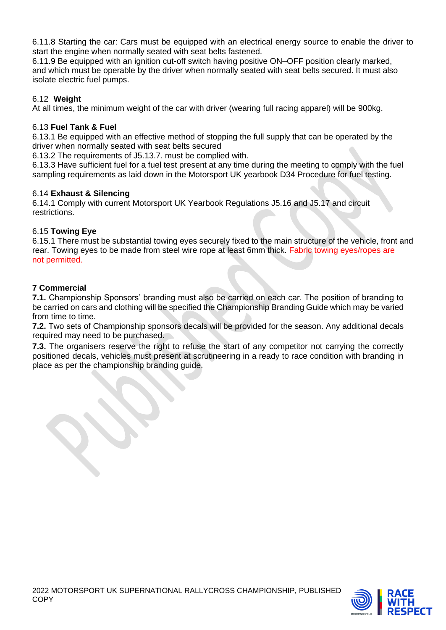6.11.8 Starting the car: Cars must be equipped with an electrical energy source to enable the driver to start the engine when normally seated with seat belts fastened.

6.11.9 Be equipped with an ignition cut-off switch having positive ON–OFF position clearly marked, and which must be operable by the driver when normally seated with seat belts secured. It must also isolate electric fuel pumps.

## 6.12 **Weight**

At all times, the minimum weight of the car with driver (wearing full racing apparel) will be 900kg.

## 6.13 **Fuel Tank & Fuel**

6.13.1 Be equipped with an effective method of stopping the full supply that can be operated by the driver when normally seated with seat belts secured

6.13.2 The requirements of J5.13.7. must be complied with.

6.13.3 Have sufficient fuel for a fuel test present at any time during the meeting to comply with the fuel sampling requirements as laid down in the Motorsport UK yearbook D34 Procedure for fuel testing.

## 6.14 **Exhaust & Silencing**

6.14.1 Comply with current Motorsport UK Yearbook Regulations J5.16 and J5.17 and circuit restrictions.

## 6.15 **Towing Eye**

6.15.1 There must be substantial towing eyes securely fixed to the main structure of the vehicle, front and rear. Towing eyes to be made from steel wire rope at least 6mm thick. Fabric towing eyes/ropes are not permitted.

## **7 Commercial**

**7.1.** Championship Sponsors' branding must also be carried on each car. The position of branding to be carried on cars and clothing will be specified the Championship Branding Guide which may be varied from time to time.

**7.2.** Two sets of Championship sponsors decals will be provided for the season. Any additional decals required may need to be purchased.

**7.3.** The organisers reserve the right to refuse the start of any competitor not carrying the correctly positioned decals, vehicles must present at scrutineering in a ready to race condition with branding in place as per the championship branding guide.

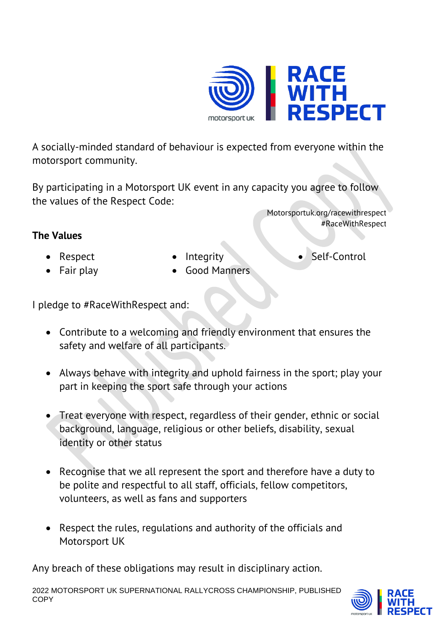

A socially-minded standard of behaviour is expected from everyone within the motorsport community.

By participating in a Motorsport UK event in any capacity you agree to follow the values of the Respect Code:

**The Values**

•

• Integrity

•Self-Control

#RaceWithRespect

Motorsportuk.org/racewithrespect

 Respect • Fair play

• Good Manners

I pledge to #RaceWithRespect and:

- Contribute to a welcoming and friendly environment that ensures the safety and welfare of all participants.
- Always behave with integrity and uphold fairness in the sport; play your part in keeping the sport safe through your actions
- • Treat everyone with respect, regardless of their gender, ethnic or social background, language, religious or other beliefs, disability, sexual identity or other status
- Recognise that we all represent the sport and therefore have a duty to be polite and respectful to all staff, officials, fellow competitors, volunteers, as well as fans and supporters
- Respect the rules, regulations and authority of the officials and Motorsport UK

Any breach of these obligations may result in disciplinary action.